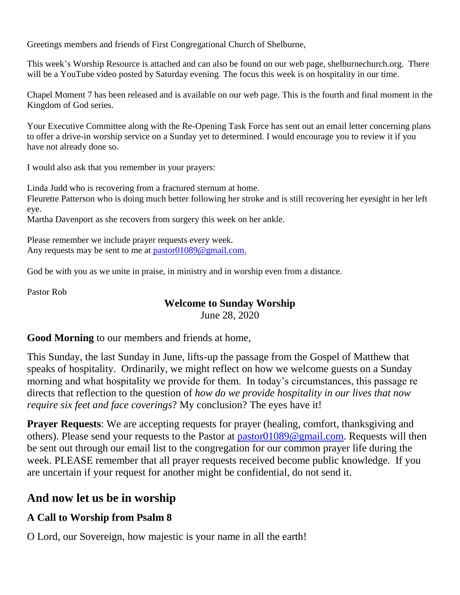Greetings members and friends of First Congregational Church of Shelburne,

This week's Worship Resource is attached and can also be found on our web page, shelburnechurch.org. There will be a YouTube video posted by Saturday evening. The focus this week is on hospitality in our time.

Chapel Moment 7 has been released and is available on our web page. This is the fourth and final moment in the Kingdom of God series.

Your Executive Committee along with the Re-Opening Task Force has sent out an email letter concerning plans to offer a drive-in worship service on a Sunday yet to determined. I would encourage you to review it if you have not already done so.

I would also ask that you remember in your prayers:

Linda Judd who is recovering from a fractured sternum at home.

Fleurette Patterson who is doing much better following her stroke and is still recovering her eyesight in her left eye.

Martha Davenport as she recovers from surgery this week on her ankle.

Please remember we include prayer requests every week. Any requests may be sent to me at [pastor01089@gmail.com.](mailto:pastor01089@gmail.com)

God be with you as we unite in praise, in ministry and in worship even from a distance.

Pastor Rob

#### **Welcome to Sunday Worship**

June 28, 2020

**Good Morning** to our members and friends at home,

This Sunday, the last Sunday in June, lifts-up the passage from the Gospel of Matthew that speaks of hospitality. Ordinarily, we might reflect on how we welcome guests on a Sunday morning and what hospitality we provide for them. In today's circumstances, this passage re directs that reflection to the question of *how do we provide hospitality in our lives that now require six feet and face coverings*? My conclusion? The eyes have it!

**Prayer Requests:** We are accepting requests for prayer (healing, comfort, thanksgiving and others). Please send your requests to the Pastor at [pastor01089@gmail.com.](mailto:pastor01089@gmail.com) Requests will then be sent out through our email list to the congregation for our common prayer life during the week. PLEASE remember that all prayer requests received become public knowledge. If you are uncertain if your request for another might be confidential, do not send it.

# **And now let us be in worship**

## **A Call to Worship from Psalm 8**

O Lord, our Sovereign, how majestic is your name in all the earth!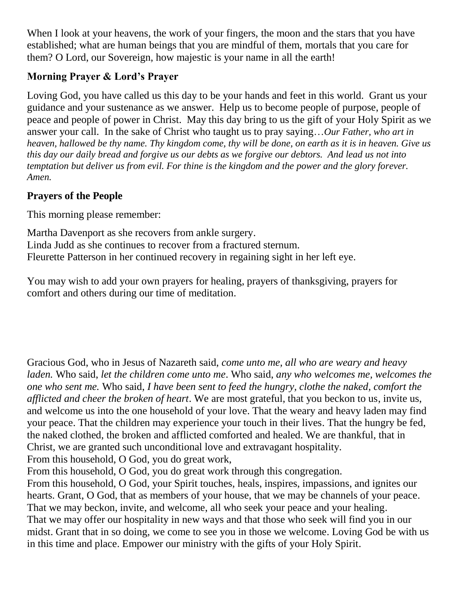When I look at your heavens, the work of your fingers, the moon and the stars that you have established; what are human beings that you are mindful of them, mortals that you care for them? O Lord, our Sovereign, how majestic is your name in all the earth!

## **Morning Prayer & Lord's Prayer**

Loving God, you have called us this day to be your hands and feet in this world. Grant us your guidance and your sustenance as we answer. Help us to become people of purpose, people of peace and people of power in Christ. May this day bring to us the gift of your Holy Spirit as we answer your call. In the sake of Christ who taught us to pray saying…*Our Father, who art in heaven, hallowed be thy name. Thy kingdom come, thy will be done, on earth as it is in heaven. Give us this day our daily bread and forgive us our debts as we forgive our debtors. And lead us not into temptation but deliver us from evil. For thine is the kingdom and the power and the glory forever. Amen.*

## **Prayers of the People**

This morning please remember:

Martha Davenport as she recovers from ankle surgery. Linda Judd as she continues to recover from a fractured sternum. Fleurette Patterson in her continued recovery in regaining sight in her left eye.

You may wish to add your own prayers for healing, prayers of thanksgiving, prayers for comfort and others during our time of meditation.

Gracious God, who in Jesus of Nazareth said, *come unto me, all who are weary and heavy laden.* Who said, *let the children come unto me*. Who said, *any who welcomes me, welcomes the one who sent me.* Who said, *I have been sent to feed the hungry, clothe the naked, comfort the afflicted and cheer the broken of heart*. We are most grateful, that you beckon to us, invite us, and welcome us into the one household of your love. That the weary and heavy laden may find your peace. That the children may experience your touch in their lives. That the hungry be fed, the naked clothed, the broken and afflicted comforted and healed. We are thankful, that in Christ, we are granted such unconditional love and extravagant hospitality.

From this household, O God, you do great work,

From this household, O God, you do great work through this congregation.

From this household, O God, your Spirit touches, heals, inspires, impassions, and ignites our hearts. Grant, O God, that as members of your house, that we may be channels of your peace. That we may beckon, invite, and welcome, all who seek your peace and your healing. That we may offer our hospitality in new ways and that those who seek will find you in our midst. Grant that in so doing, we come to see you in those we welcome. Loving God be with us in this time and place. Empower our ministry with the gifts of your Holy Spirit.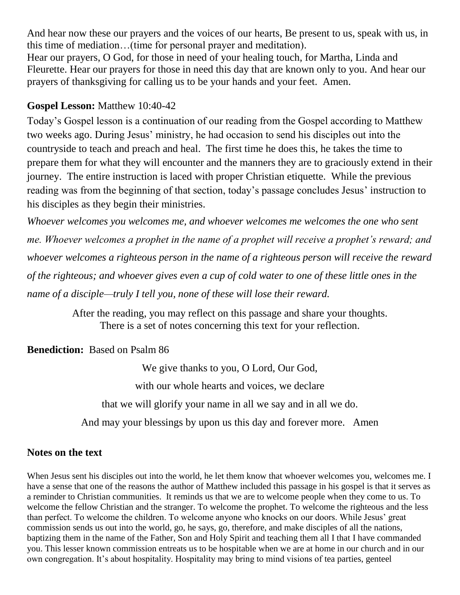And hear now these our prayers and the voices of our hearts, Be present to us, speak with us, in this time of mediation…(time for personal prayer and meditation). Hear our prayers, O God, for those in need of your healing touch, for Martha, Linda and Fleurette. Hear our prayers for those in need this day that are known only to you. And hear our prayers of thanksgiving for calling us to be your hands and your feet. Amen.

#### **Gospel Lesson:** Matthew 10:40-42

Today's Gospel lesson is a continuation of our reading from the Gospel according to Matthew two weeks ago. During Jesus' ministry, he had occasion to send his disciples out into the countryside to teach and preach and heal. The first time he does this, he takes the time to prepare them for what they will encounter and the manners they are to graciously extend in their journey. The entire instruction is laced with proper Christian etiquette. While the previous reading was from the beginning of that section, today's passage concludes Jesus' instruction to his disciples as they begin their ministries.

*Whoever welcomes you welcomes me, and whoever welcomes me welcomes the one who sent me. Whoever welcomes a prophet in the name of a prophet will receive a prophet's reward; and whoever welcomes a righteous person in the name of a righteous person will receive the reward of the righteous; and whoever gives even a cup of cold water to one of these little ones in the name of a disciple—truly I tell you, none of these will lose their reward.*

> After the reading, you may reflect on this passage and share your thoughts. There is a set of notes concerning this text for your reflection.

**Benediction:** Based on Psalm 86

We give thanks to you, O Lord, Our God,

with our whole hearts and voices, we declare

that we will glorify your name in all we say and in all we do.

And may your blessings by upon us this day and forever more. Amen

#### **Notes on the text**

When Jesus sent his disciples out into the world, he let them know that whoever welcomes you, welcomes me. I have a sense that one of the reasons the author of Matthew included this passage in his gospel is that it serves as a reminder to Christian communities. It reminds us that we are to welcome people when they come to us. To welcome the fellow Christian and the stranger. To welcome the prophet. To welcome the righteous and the less than perfect. To welcome the children. To welcome anyone who knocks on our doors. While Jesus' great commission sends us out into the world, go, he says, go, therefore, and make disciples of all the nations, baptizing them in the name of the Father, Son and Holy Spirit and teaching them all I that I have commanded you. This lesser known commission entreats us to be hospitable when we are at home in our church and in our own congregation. It's about hospitality. Hospitality may bring to mind visions of tea parties, genteel